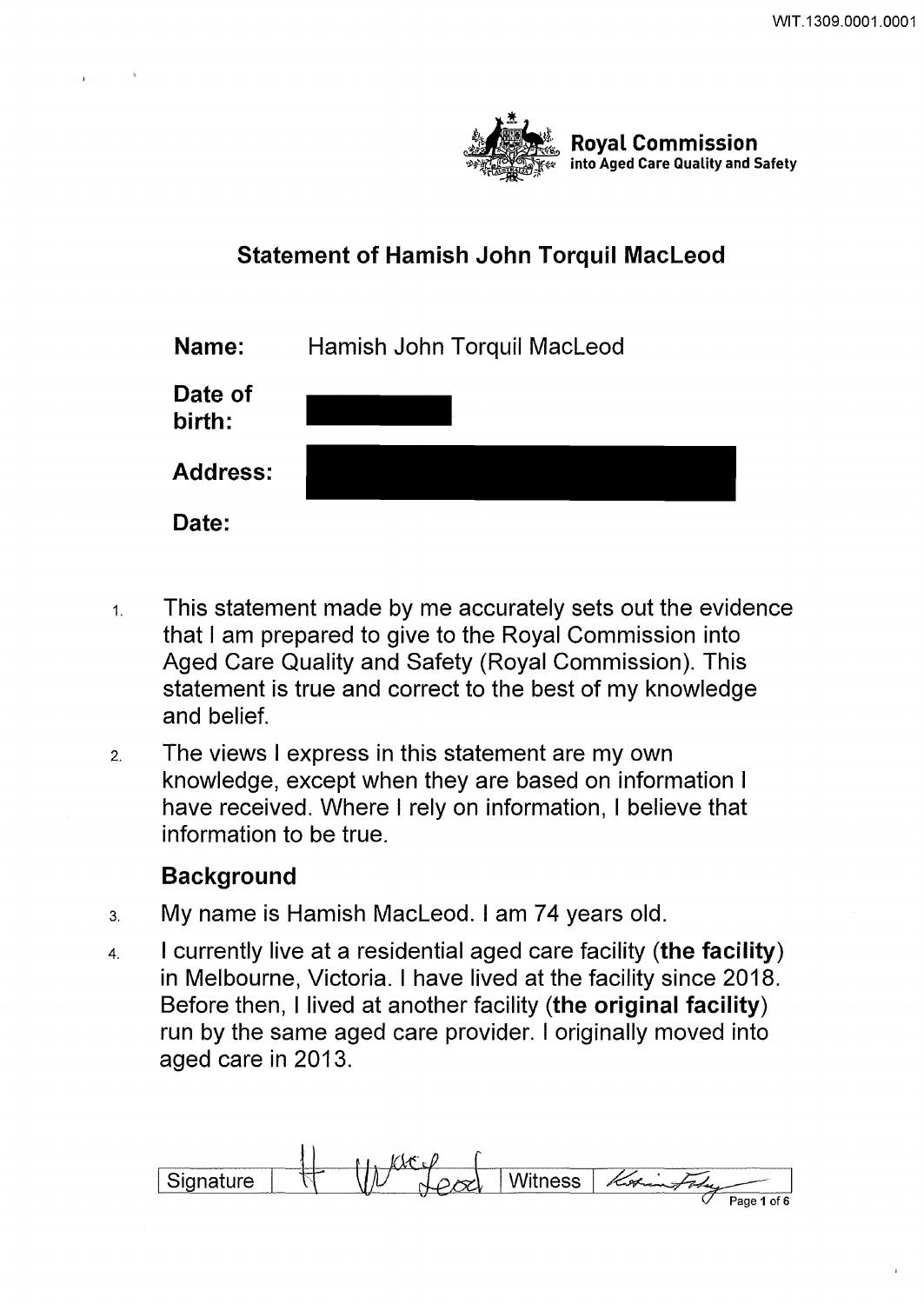

# **Statement of Hamish John Torquil Macleod**

| Name:             | Hamish John Torquil MacLeod |
|-------------------|-----------------------------|
| Date of<br>birth: |                             |
| <b>Address:</b>   |                             |
| Date:             |                             |

- 1. This statement made by me accurately sets out the evidence that I am prepared to give to the Royal Commission into Aged Care Quality and Safety (Royal Commission). This statement is true and correct to the best of my knowledge and belief.
- 2. The views I express in this statement are my own knowledge, except when they are based on information I have received. Where I rely on information, I believe that information to be true.

# **Background**

- 3. My name is Hamish Macleod. I am 74 years old.
- 4. I currently live at a residential aged care facility **(the facility)**  in Melbourne, Victoria. I have lived at the facility since 2018. Before then, I lived at another facility **(the original facility)**  run by the same aged care provider. I originally moved into aged care in 2013.

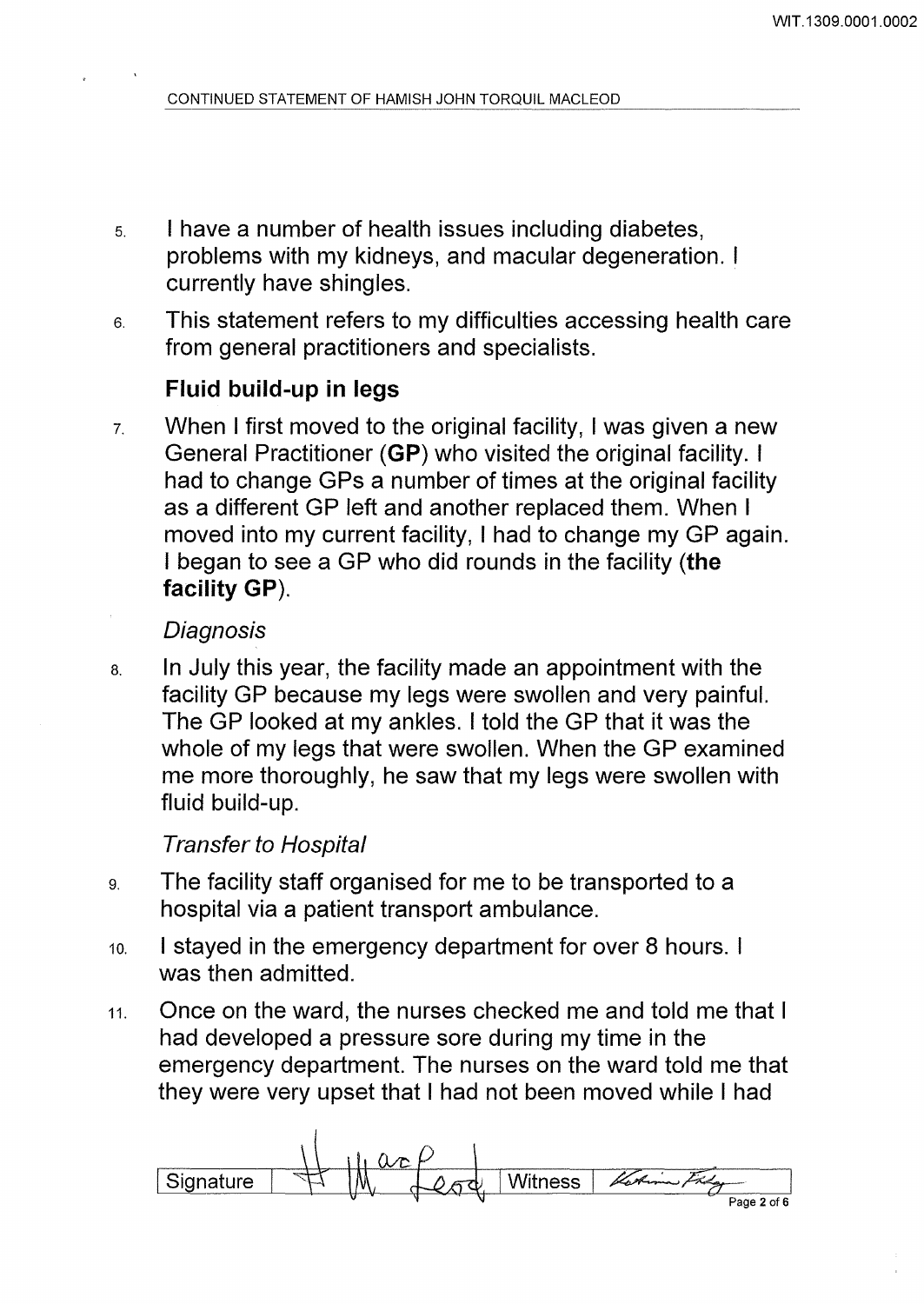- 5. I have a number of health issues including diabetes, problems with my kidneys, and macular degeneration. I currently have shingles.
- 6. This statement refers to my difficulties accessing health care from general practitioners and specialists.

# **Fluid build-up in legs**

7. When I first moved to the original facility, I was given a new General Practitioner **(GP)** who visited the original facility. I had to change GPs a number of times at the original facility as a different GP left and another replaced them. When I moved into my current facility, I had to change my GP again. I began to see a GP who did rounds in the facility **(the facility GP).** 

### **Diagnosis**

a. In July this year, the facility made an appointment with the facility GP because my legs were swollen and very painful. The GP looked at my ankles. I told the GP that it was the whole of my legs that were swollen. When the GP examined me more thoroughly, he saw that my legs were swollen with fluid build-up.

# Transfer to Hospital

- 9. The facility staff organised for me to be transported to a hospital via a patient transport ambulance.
- 10. I stayed in the emergency department for over 8 hours. I was then admitted.
- 11. Once on the ward, the nurses checked me and told me that I had developed a pressure sore during my time in the emergency department. The nurses on the ward told me that they were very upset that I had not been moved while I had

**Witness Signature**  $Page2 of6$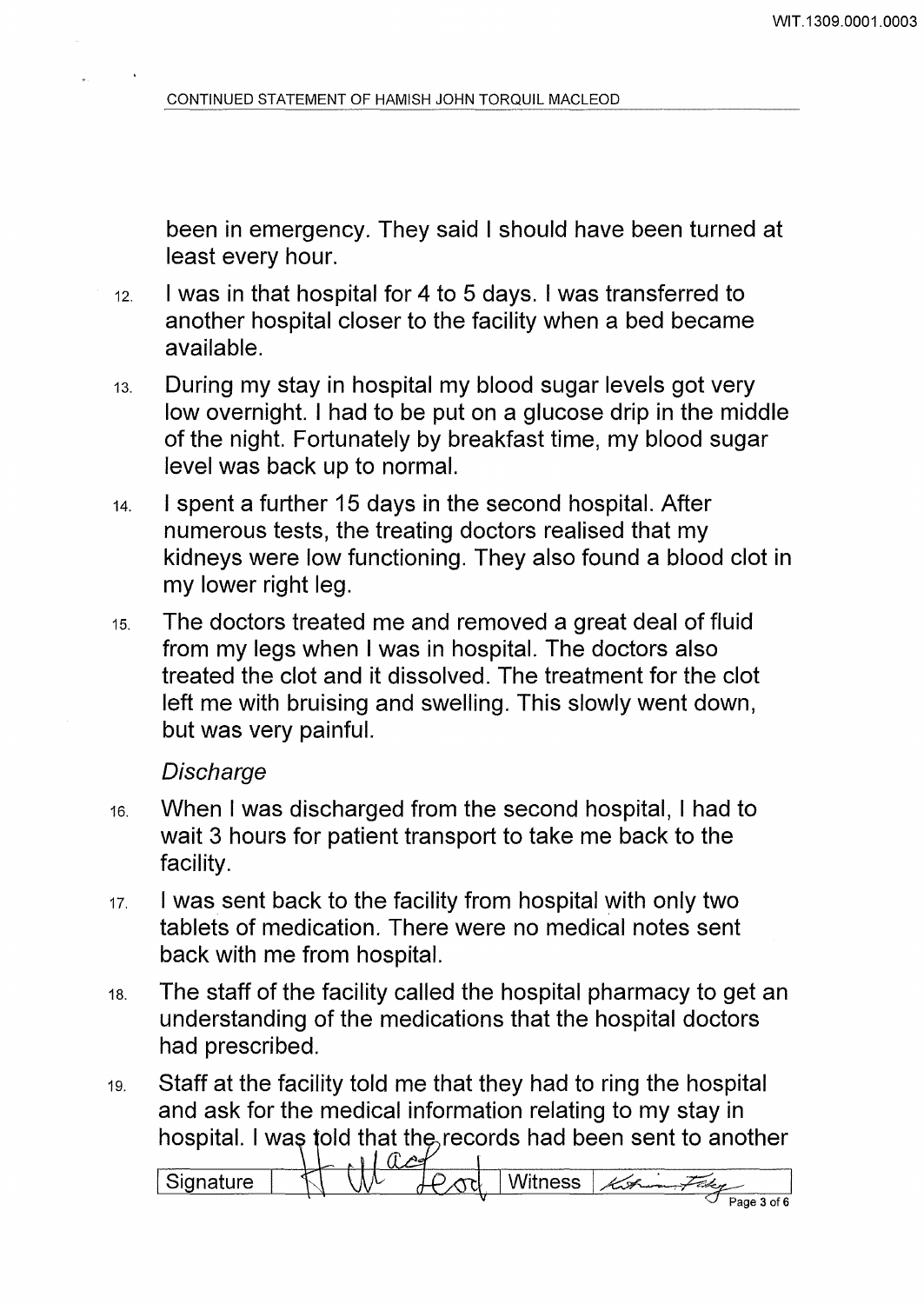been in emergency. They said I should have been turned at least every hour.

- 12. I was in that hospital for 4 to 5 days. I was transferred to another hospital closer to the facility when a bed became available.
- 13. During my stay in hospital my blood sugar levels got very low overnight. I had to be put on a glucose drip in the middle of the night. Fortunately by breakfast time, my blood sugar level was back up to normal.
- 14. I spent a further 15 days in the second hospital. After numerous tests, the treating doctors realised that my kidneys were low functioning. They also found a blood clot in my lower right leg.
- 1s. The doctors treated me and removed a great deal of fluid from my legs when I was in hospital. The doctors also treated the clot and it dissolved. The treatment for the clot left me with bruising and swelling. This slowly went down, but was very painful.

#### **Discharge**

- 16. When I was discharged from the second hospital, I had to wait 3 hours for patient transport to take me back to the facility.
- 11. I was sent back to the facility from hospital with only two tablets of medication. There were no medical notes sent back with me from hospital.
- 1a. The staff of the facility called the hospital pharmacy to get an understanding of the medications that the hospital doctors had prescribed.
- 19. Staff at the facility told me that they had to ring the hospital and ask for the medical information relating to my stay in hospital. I was told that the records had been sent to another

 $\int$ Signature  $\mathbb{N}$   $\mathbb{N}$   $\mathbb{N}$   $\mathbb{R}$   $\mathbb{N}$   $\mathbb{N}$  Witness  $\mathbb{R}$ Page 3 of 6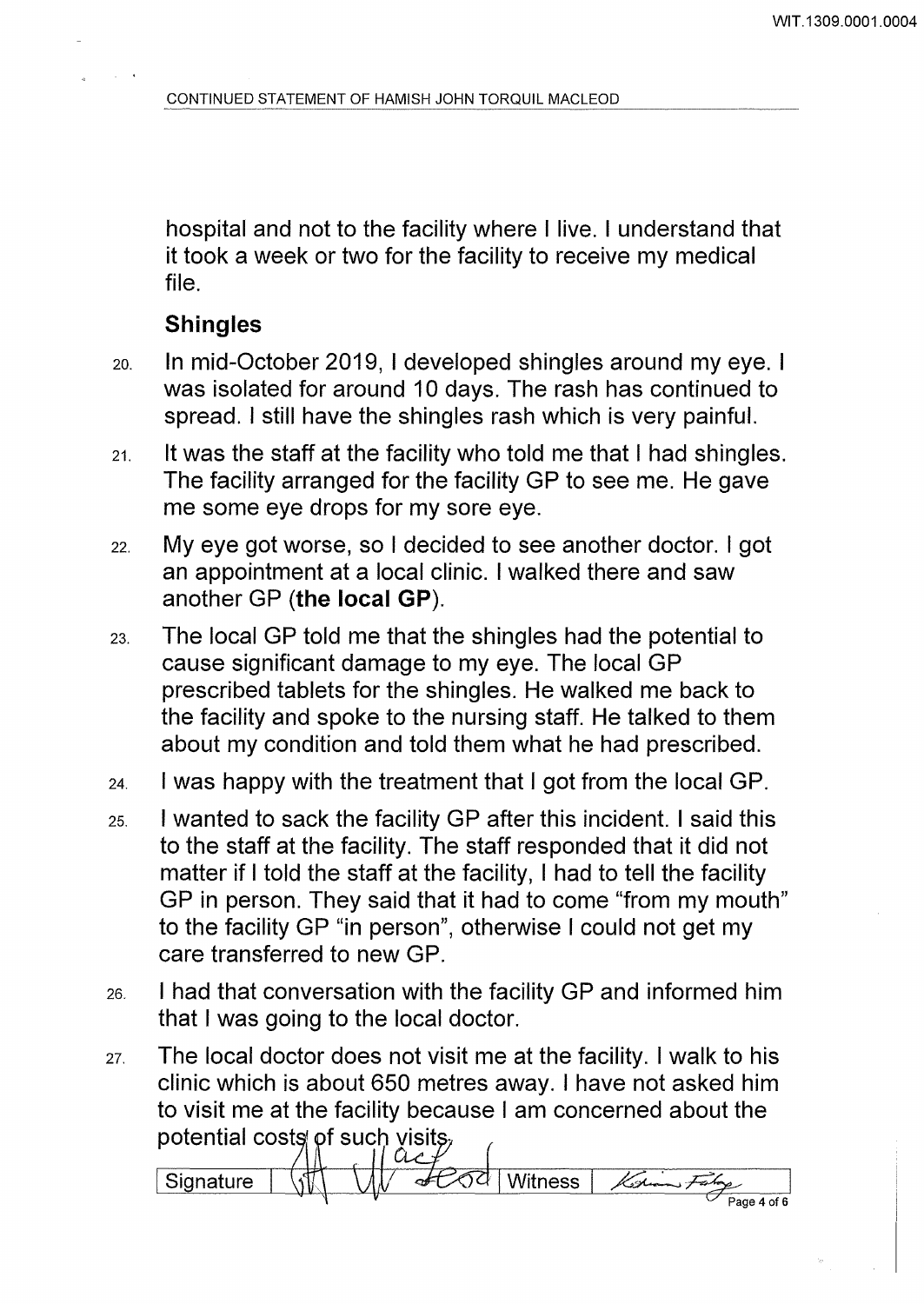hospital and not to the facility where I live. I understand that it took a week or two for the facility to receive my medical file.

# **Shingles**

- 20. In mid-October 2019, I developed shingles around my eye. I was isolated for around 10 days. The rash has continued to spread. I still have the shingles rash which is very painful.
- 21. It was the staff at the facility who told me that I had shingles. The facility arranged for the facility GP to see me. He gave me some eye drops for my sore eye.
- 22. My eye got worse, so I decided to see another doctor. I got an appointment at a local clinic. I walked there and saw another GP **(the local GP).**
- 23. The local GP told me that the shingles had the potential to cause significant damage to my eye. The local GP prescribed tablets for the shingles. He walked me back to the facility and spoke to the nursing staff. He talked to them about my condition and told them what he had prescribed.
- 24. I was happy with the treatment that I got from the local GP.
- 25. I wanted to sack the facility GP after this incident. I said this to the staff at the facility. The staff responded that it did not matter if I told the staff at the facility, I had to tell the facility GP in person. They said that it had to come "from my mouth" to the facility GP "in person", otherwise I could not get my care transferred to new GP.
- 26. I had that conversation with the facility GP and informed him that I was going to the local doctor.
- 27. The local doctor does not visit me at the facility. I walk to his clinic which is about 650 metres away. I have not asked him to visit me at the facility because I am concerned about the potential costs of such visits,

 $\Omega$ **Signature Witness** Page 4 of 6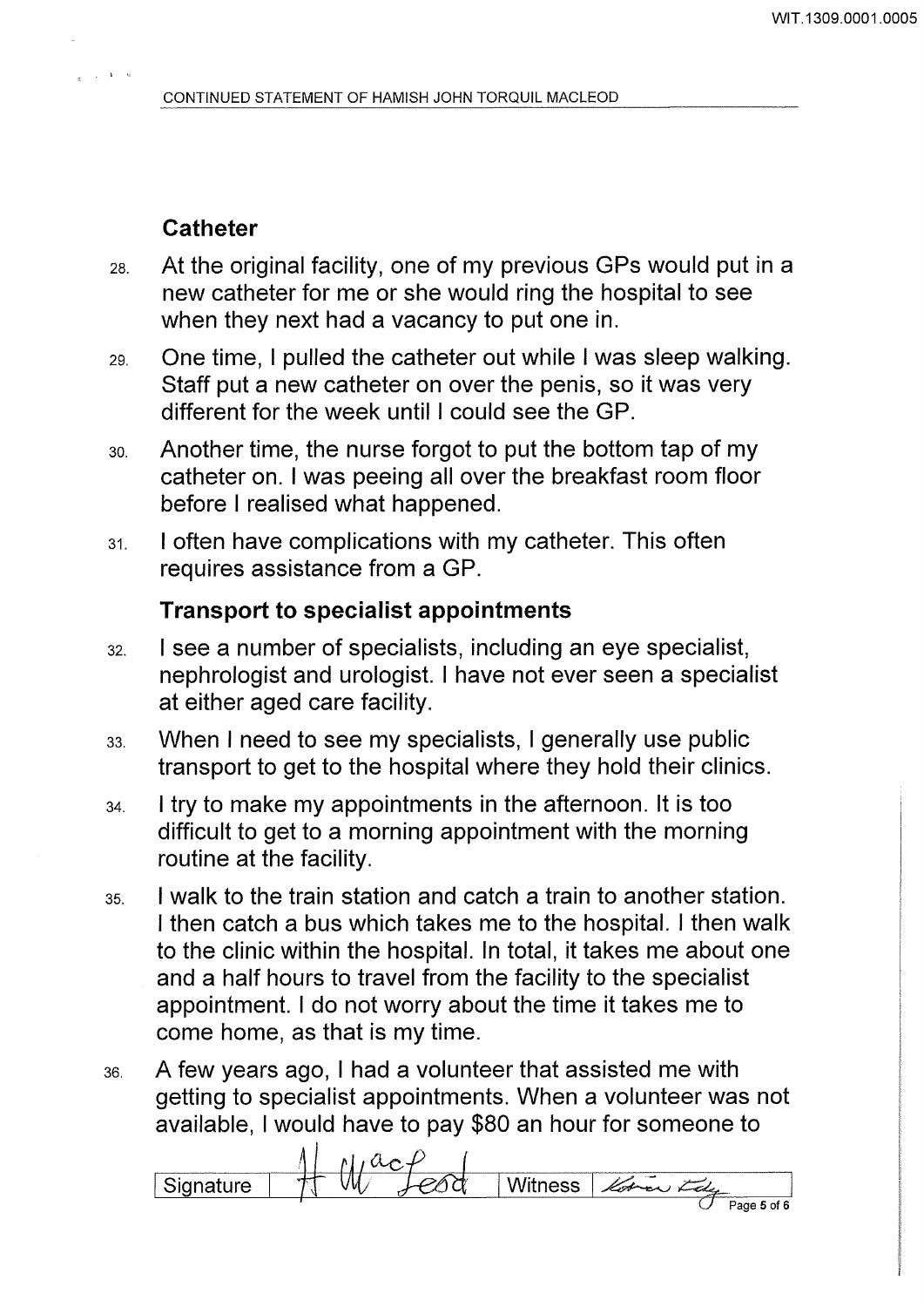# **Catheter**

 $\mathcal{L}^{\mathcal{A}}$ 

- 2a. At the original facility, one of my previous GPs would put in a new catheter for me or she would ring the hospital to see when they next had a vacancy to put one in.
- 29. One time, I pulled the catheter out while I was sleep walking. Staff put a new catheter on over the penis, so it was very different for the week until I could see the GP.
- 3o. Another time, the nurse forgot to put the bottom tap of my catheter on. I was peeing all over the breakfast room floor before I realised what happened.
- 31. I often have complications with my catheter. This often requires assistance from a GP.

# **Transport to specialist appointments**

- 32. I see a number of specialists, including an eye specialist, nephrologist and urologist. I have not ever seen a specialist at either aged care facility.
- 33. When I need to see my specialists, I generally use public transport to get to the hospital where they hold their clinics.
- 34. I try to make my appointments in the afternoon. It is too difficult to get to a morning appointment with the morning routine at the facility.
- 35. I walk to the train station and catch a train to another station. I then catch a bus which takes me to the hospital. I then walk to the clinic within the hospital. In total, it takes me about one and a half hours to travel from the facility to the specialist appointment. I do not worry about the time it takes me to come home, as that is my time.
- 36. A few years ago, I had a volunteer that assisted me with getting to specialist appointments. When a volunteer was not available, I would have to pay \$80 an hour for someone to

 $I$  Signature  $II$   $\frac{1}{2}$   $\frac{1}{2}$   $\frac{1}{2}$   $\frac{1}{2}$   $\frac{1}{2}$   $\frac{1}{2}$   $\frac{1}{2}$   $\frac{1}{2}$  Witness  $\frac{1}{2}$   $\frac{1}{2}$   $\frac{1}{2}$   $\frac{1}{2}$   $\frac{1}{2}$   $\frac{1}{2}$   $\frac{1}{2}$   $\frac{1}{2}$   $\frac{1}{2}$   $\frac{1}{2}$   $\frac{1}{2}$   $\frac{1$ Page 5 of 6